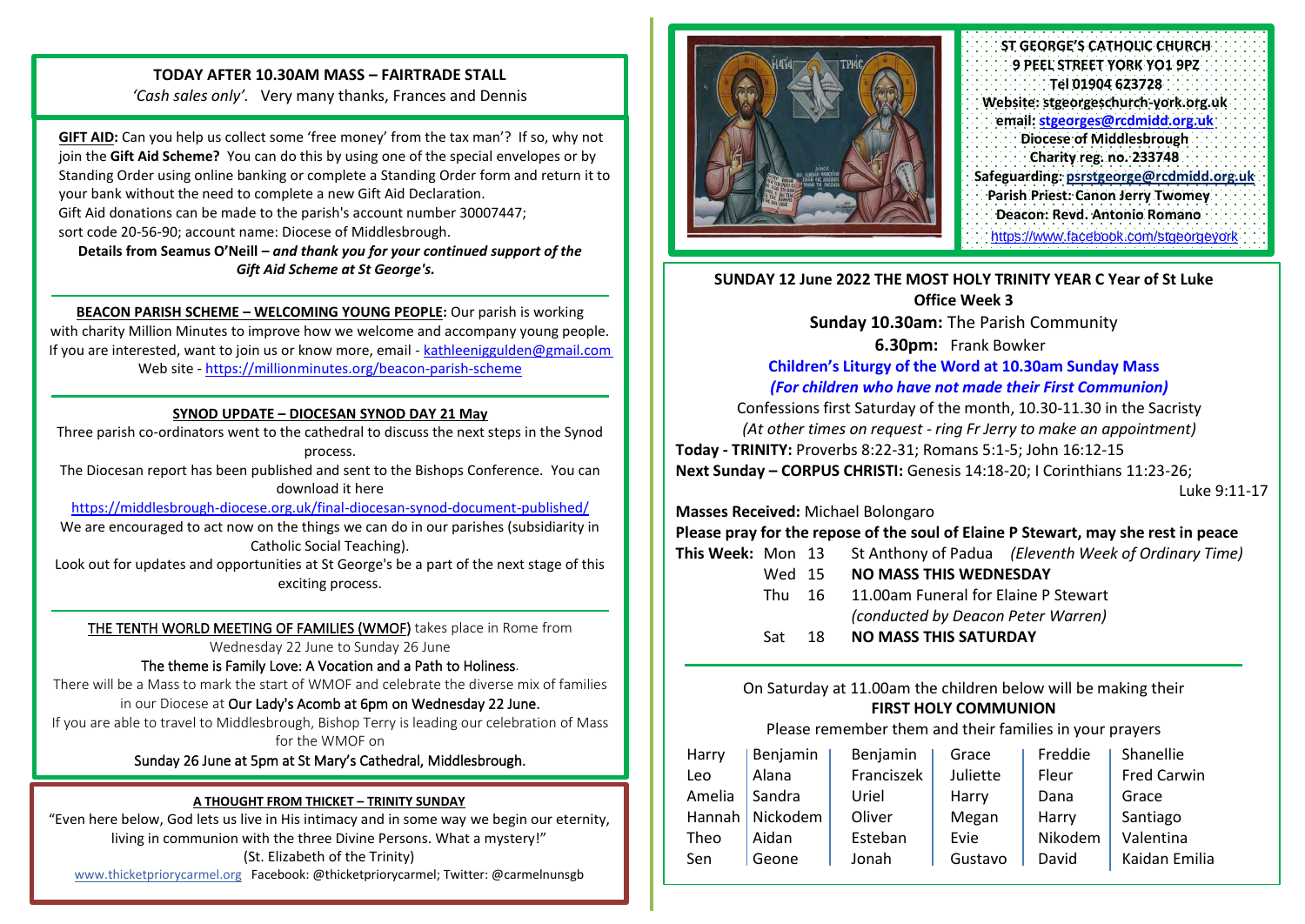## **TODAY AFTER 10.30AM MASS – FAIRTRADE STALL**

*'Cash sales only'.* Very many thanks, Frances and Dennis

**GIFT AID:** Can you help us collect some 'free money' from the tax man'? If so, why not join the **Gift Aid Scheme?** You can do this by using one of the special envelopes or by Standing Order using online banking or complete a Standing Order form and return it to your bank without the need to complete a new Gift Aid Declaration. Gift Aid donations can be made to the parish's account number 30007447; sort code 20-56-90; account name: Diocese of Middlesbrough.

**Details from Seamus O'Neill –** *and thank you for your continued support of the Gift Aid Scheme at St George's.*

**BEACON PARISH SCHEME – WELCOMING YOUNG PEOPLE:** Our parish is working

with charity Million Minutes to improve how we welcome and accompany young people. If you are interested, want to join us or know more, email - [kathleeniggulden@gmail.com](mailto:kathleeniggulden@gmail.com) Web site - <https://millionminutes.org/beacon-parish-scheme>

#### **SYNOD UPDATE – DIOCESAN SYNOD DAY 21 May**

Three parish co-ordinators went to the cathedral to discuss the next steps in the Synod process.

The Diocesan report has been published and sent to the Bishops Conference. You can download it here

<https://middlesbrough-diocese.org.uk/final-diocesan-synod-document-published/> We are encouraged to act now on the things we can do in our parishes (subsidiarity in Catholic Social Teaching).

Look out for updates and opportunities at St George's be a part of the next stage of this exciting process.

THE TENTH WORLD MEETING OF FAMILIES (WMOF) takes place in Rome from Wednesday 22 June to Sunday 26 June

The theme is Family Love: A Vocation and a Path to Holiness.

There will be a Mass to mark the start of WMOF and celebrate the diverse mix of families

## in our Diocese at Our Lady's Acomb at 6pm on Wednesday 22 June.

If you are able to travel to Middlesbrough, Bishop Terry is leading our celebration of Mass for the WMOF on

Sunday 26 June at 5pm at St Mary's Cathedral, Middlesbrough.

#### **A THOUGHT FROM THICKET – TRINITY SUNDAY**

"Even here below, God lets us live in His intimacy and in some way we begin our eternity, living in communion with the three Divine Persons. What a mystery!" (St. Elizabeth of the Trinity)

[www.thicketpriorycarmel.org](http://www.thicketpriorycarmel.org/) Facebook: @thicketpriorycarmel; Twitter: @carmelnunsgb



| ST GEORGE'S CATHOLIC CHURCH              |
|------------------------------------------|
| 9 PEEL STREET YORK YO1 9PZ               |
| Tel 01904 623728                         |
| Website: stgeorgeschurch-york.org.uk     |
| email: stgeorges@rcdmidd.org.uk          |
| <b>Diocese of Middlesbrough</b>          |
| Charity reg. no. 233748                  |
| Safeguarding: psrstgeorge@rcdmidd.org.uk |
| Parish Priest: Canon Jerry Twomey        |
| Deacon: Revd. Antonio Romano             |
| https://www.facebook.com/stgeorgeyork.   |

# **SUNDAY 12 June 2022 THE MOST HOLY TRINITY YEAR C Year of St Luke Office Week 3**

**Sunday 10.30am:** The Parish Community

**6.30pm:** Frank Bowker

## **Children's Liturgy of the Word at 10.30am Sunday Mass** *(For children who have not made their First Communion)*

Confessions first Saturday of the month, 10.30-11.30 in the Sacristy *(At other times on request - ring Fr Jerry to make an appointment)* **Today - TRINITY:** Proverbs 8:22-31; Romans 5:1-5; John 16:12-15 **Next Sunday – CORPUS CHRISTI:** Genesis 14:18-20; I Corinthians 11:23-26;

Luke 9:11-17

**Masses Received:** Michael Bolongaro

### **Please pray for the repose of the soul of Elaine P Stewart, may she rest in peace**

**This Week:** Mon 13 St Anthony of Padua *(Eleventh Week of Ordinary Time)*

- Wed 15 **NO MASS THIS WEDNESDAY**
- Thu 16 11.00am Funeral for Elaine P Stewart *(conducted by Deacon Peter Warren)*
- Sat 18 **NO MASS THIS SATURDAY**

On Saturday at 11.00am the children below will be making their **FIRST HOLY COMMUNION**

Please remember them and their families in your prayers

| Harry  | Benjamin          | Benjamin   | Grace    | Freddie | Shanellie          |
|--------|-------------------|------------|----------|---------|--------------------|
| Leo    | Alana             | Franciszek | Juliette | Fleur   | <b>Fred Carwin</b> |
| Amelia | Sandra            | Uriel      | Harry    | Dana    | Grace              |
|        | Hannah   Nickodem | Oliver     | Megan    | Harry   | Santiago           |
| Theo   | Aidan             | Esteban    | Evie     | Nikodem | Valentina          |
| Sen    | Geone             | Jonah      | Gustavo  | David   | Kaidan Emilia      |